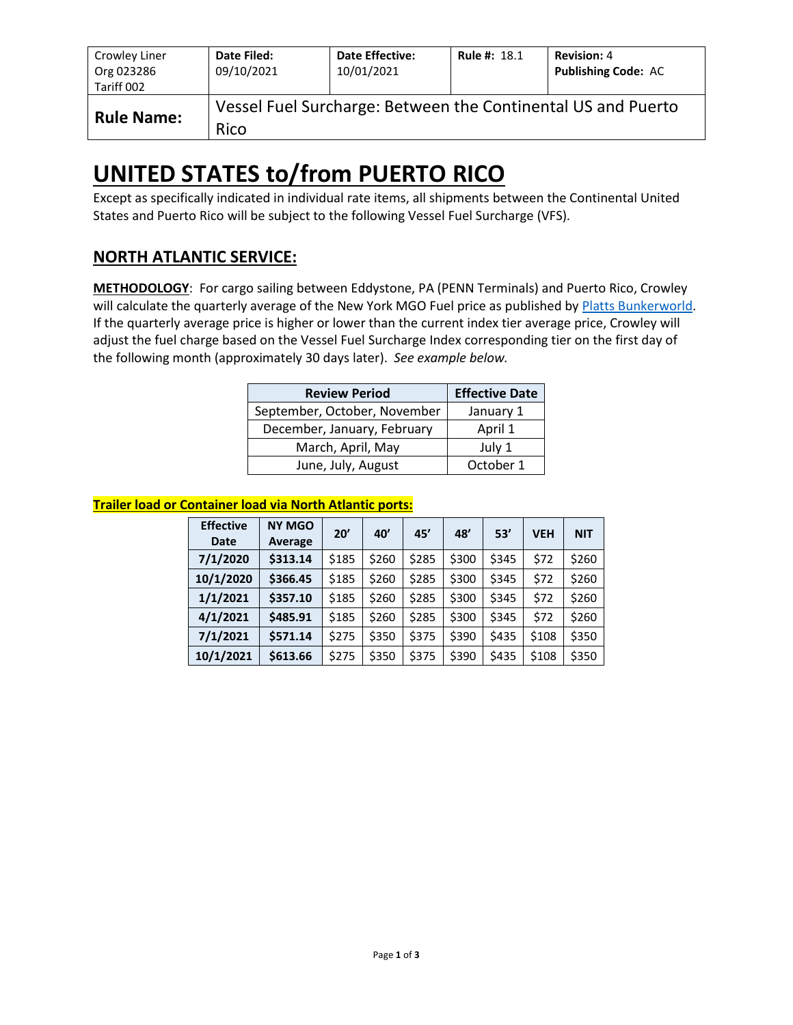| Crowley Liner<br>Org 023286<br>Tariff 002 | Date Filed:<br>09/10/2021 | <b>Date Effective:</b><br>10/01/2021 | <b>Rule #: 18.1</b> | <b>Revision: 4</b><br><b>Publishing Code: AC</b>             |
|-------------------------------------------|---------------------------|--------------------------------------|---------------------|--------------------------------------------------------------|
| <b>Rule Name:</b>                         | Rico                      |                                      |                     | Vessel Fuel Surcharge: Between the Continental US and Puerto |

# **UNITED STATES to/from PUERTO RICO**

Except as specifically indicated in individual rate items, all shipments between the Continental United States and Puerto Rico will be subject to the following Vessel Fuel Surcharge (VFS).

## **NORTH ATLANTIC SERVICE:**

**METHODOLOGY**: For cargo sailing between Eddystone, PA (PENN Terminals) and Puerto Rico, Crowley will calculate the quarterly average of the New York MGO Fuel price as published b[y Platts Bunkerworld.](http://www.bunkerworld.com/) If the quarterly average price is higher or lower than the current index tier average price, Crowley will adjust the fuel charge based on the Vessel Fuel Surcharge Index corresponding tier on the first day of the following month (approximately 30 days later). *See example below.*

| <b>Review Period</b>         | <b>Effective Date</b> |
|------------------------------|-----------------------|
| September, October, November | January 1             |
| December, January, February  | April 1               |
| March, April, May            | July 1                |
| June, July, August           | October 1             |

#### **Trailer load or Container load via North Atlantic ports:**

| <b>Effective</b><br>Date | <b>NY MGO</b><br>Average | 20'   | 40'   | 45'   | 48'   | 53'   | <b>VEH</b> | <b>NIT</b> |
|--------------------------|--------------------------|-------|-------|-------|-------|-------|------------|------------|
| 7/1/2020                 | \$313.14                 | \$185 | \$260 | \$285 | \$300 | \$345 | \$72       | \$260      |
| 10/1/2020                | \$366.45                 | \$185 | \$260 | \$285 | \$300 | \$345 | \$72       | \$260      |
| 1/1/2021                 | \$357.10                 | \$185 | \$260 | \$285 | \$300 | \$345 | \$72       | \$260      |
| 4/1/2021                 | \$485.91                 | \$185 | \$260 | \$285 | \$300 | \$345 | \$72       | \$260      |
| 7/1/2021                 | \$571.14                 | \$275 | \$350 | \$375 | \$390 | \$435 | \$108      | \$350      |
| 10/1/2021                | \$613.66                 | \$275 | \$350 | \$375 | \$390 | \$435 | \$108      | \$350      |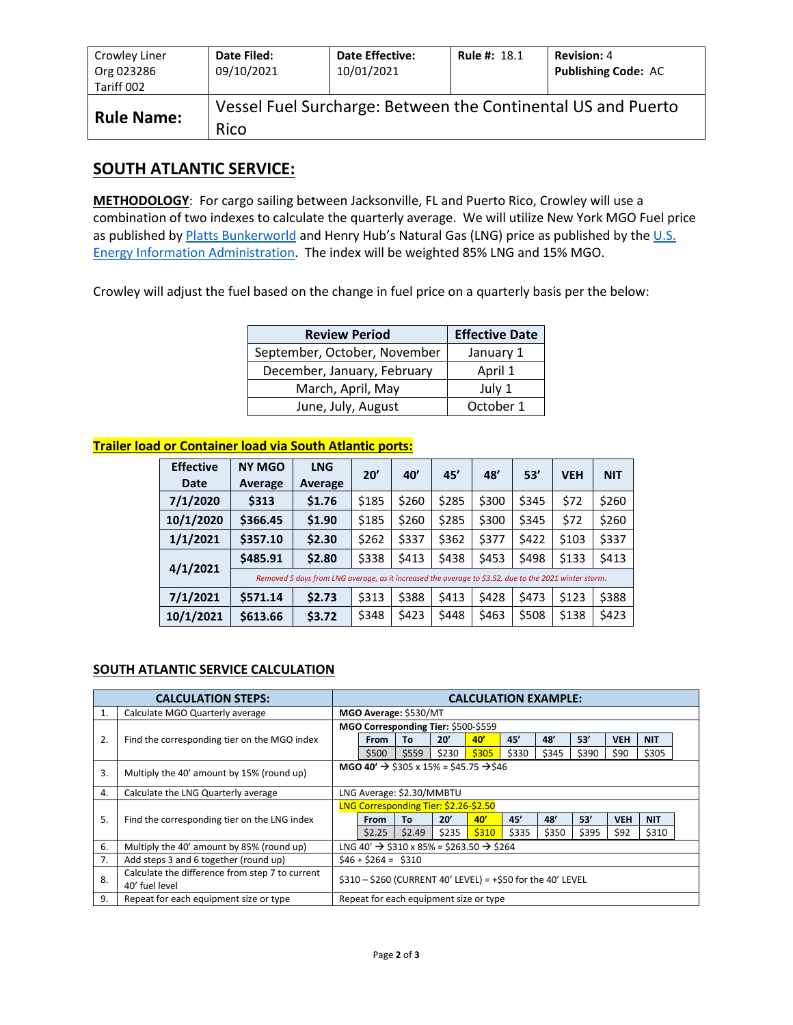| Crowley Liner<br>Org 023286<br>Tariff 002 | Date Filed:<br>09/10/2021 | <b>Date Effective:</b><br>10/01/2021 | <b>Rule #: 18.1</b> | <b>Revision: 4</b><br><b>Publishing Code: AC</b>             |
|-------------------------------------------|---------------------------|--------------------------------------|---------------------|--------------------------------------------------------------|
| <b>Rule Name:</b>                         | Rico                      |                                      |                     | Vessel Fuel Surcharge: Between the Continental US and Puerto |

### **SOUTH ATLANTIC SERVICE:**

**METHODOLOGY**: For cargo sailing between Jacksonville, FL and Puerto Rico, Crowley will use a combination of two indexes to calculate the quarterly average. We will utilize New York MGO Fuel price as published by **Platts Bunkerworld** and Henry Hub's Natural Gas (LNG) price as published by the U.S. [Energy Information Administration.](https://www.eia.gov/dnav/ng/hist/rngwhhdD.htm) The index will be weighted 85% LNG and 15% MGO.

Crowley will adjust the fuel based on the change in fuel price on a quarterly basis per the below:

| <b>Review Period</b>         | <b>Effective Date</b> |
|------------------------------|-----------------------|
| September, October, November | January 1             |
| December, January, February  | April 1               |
| March, April, May            | July 1                |
| June, July, August           | October 1             |

#### **Trailer load or Container load via South Atlantic ports:**

| <b>Effective</b><br>Date | <b>NY MGO</b><br>Average                                                                              | <b>LNG</b><br>Average | 20'   | 40'   | 45'   | 48'   | 53'   | <b>VEH</b> | <b>NIT</b> |  |  |
|--------------------------|-------------------------------------------------------------------------------------------------------|-----------------------|-------|-------|-------|-------|-------|------------|------------|--|--|
| 7/1/2020                 | \$313                                                                                                 | \$1.76                | \$185 | \$260 | \$285 | \$300 | \$345 | \$72       | \$260      |  |  |
| 10/1/2020                | \$366.45                                                                                              | \$1.90                | \$185 | \$260 | \$285 | \$300 | \$345 | \$72       | \$260      |  |  |
| 1/1/2021                 | \$357.10                                                                                              | \$2.30                | \$262 | \$337 | \$362 | \$377 | \$422 | \$103      | \$337      |  |  |
|                          | \$485.91                                                                                              | \$2.80                | \$338 | \$413 | \$438 | \$453 | \$498 | \$133      | \$413      |  |  |
| 4/1/2021                 | Removed 5 days from LNG average, as it increased the average to \$3.52, due to the 2021 winter storm. |                       |       |       |       |       |       |            |            |  |  |
| 7/1/2021                 | \$571.14                                                                                              | \$2.73                | \$313 | \$388 | \$413 | \$428 | \$473 | \$123      | \$388      |  |  |
| 10/1/2021                | \$613.66                                                                                              | \$3.72                | \$348 | \$423 | \$448 | \$463 | \$508 | \$138      | \$423      |  |  |

#### **SOUTH ATLANTIC SERVICE CALCULATION**

| <b>CALCULATION STEPS:</b> |                                                                   |                                                                | <b>CALCULATION EXAMPLE:</b>                                      |        |       |       |       |       |       |            |            |  |
|---------------------------|-------------------------------------------------------------------|----------------------------------------------------------------|------------------------------------------------------------------|--------|-------|-------|-------|-------|-------|------------|------------|--|
| 1.                        | Calculate MGO Quarterly average                                   |                                                                | MGO Average: \$530/MT                                            |        |       |       |       |       |       |            |            |  |
|                           |                                                                   | MGO Corresponding Tier: \$500-\$559                            |                                                                  |        |       |       |       |       |       |            |            |  |
| 2.                        | Find the corresponding tier on the MGO index                      |                                                                | From                                                             | То     | 20'   | 40'   | 45'   | 48'   | 53'   | <b>VEH</b> | <b>NIT</b> |  |
|                           |                                                                   |                                                                | \$500                                                            | \$559  | \$230 | \$305 | \$330 | \$345 | \$390 | \$90       | \$305      |  |
| 3.                        | Multiply the 40' amount by 15% (round up)                         | MGO 40' $\rightarrow$ \$305 x 15% = \$45.75 $\rightarrow$ \$46 |                                                                  |        |       |       |       |       |       |            |            |  |
| 4.                        | Calculate the LNG Quarterly average                               |                                                                | LNG Average: \$2.30/MMBTU                                        |        |       |       |       |       |       |            |            |  |
|                           |                                                                   | LNG Corresponding Tier: \$2.26-\$2.50                          |                                                                  |        |       |       |       |       |       |            |            |  |
| 5.                        | Find the corresponding tier on the LNG index                      |                                                                | <b>From</b>                                                      | Tο     | 20'   | 40'   | 45'   | 48'   | 53'   | <b>VEH</b> | <b>NIT</b> |  |
|                           |                                                                   |                                                                | \$2.25                                                           | \$2.49 | \$235 | \$310 | \$335 | \$350 | \$395 | \$92       | \$310      |  |
| 6.                        | Multiply the 40' amount by 85% (round up)                         |                                                                | LNG 40' $\rightarrow$ \$310 x 85% = \$263.50 $\rightarrow$ \$264 |        |       |       |       |       |       |            |            |  |
| 7.                        | Add steps 3 and 6 together (round up)                             | $$46 + $264 = $310$                                            |                                                                  |        |       |       |       |       |       |            |            |  |
| 8.                        | Calculate the difference from step 7 to current<br>40' fuel level | $$310 - $260$ (CURRENT 40' LEVEL) = +\$50 for the 40' LEVEL    |                                                                  |        |       |       |       |       |       |            |            |  |
| 9.                        | Repeat for each equipment size or type                            |                                                                | Repeat for each equipment size or type                           |        |       |       |       |       |       |            |            |  |